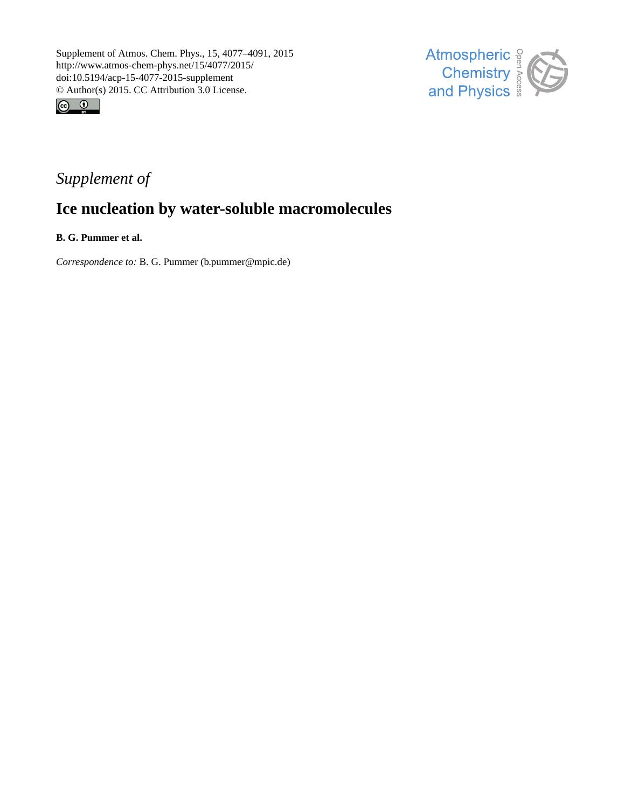



## *Supplement of*

# **Ice nucleation by water-soluble macromolecules**

**B. G. Pummer et al.**

*Correspondence to:* B. G. Pummer (b.pummer@mpic.de)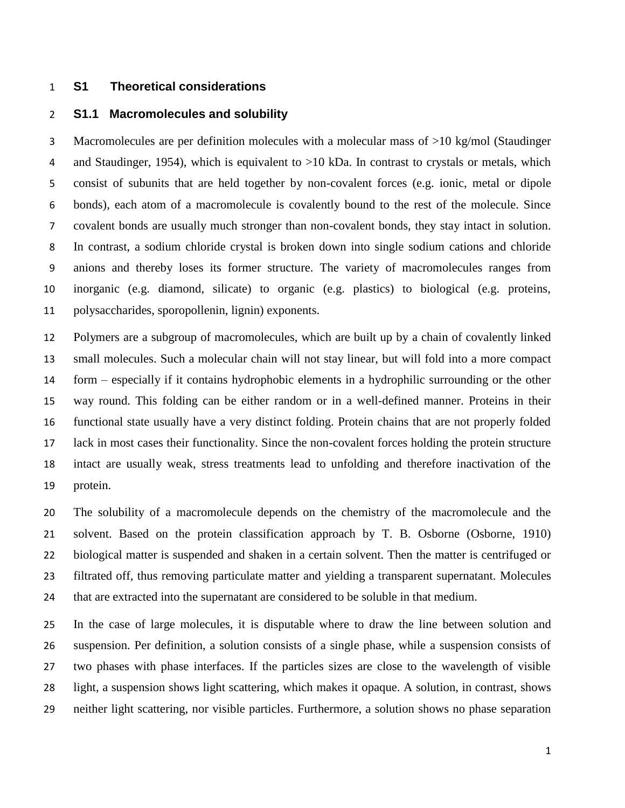## **S1 Theoretical considerations**

## **S1.1 Macromolecules and solubility**

 Macromolecules are per definition molecules with a molecular mass of >10 kg/mol (Staudinger 4 and Staudinger, 1954), which is equivalent to  $>10$  kDa. In contrast to crystals or metals, which consist of subunits that are held together by non-covalent forces (e.g. ionic, metal or dipole bonds), each atom of a macromolecule is covalently bound to the rest of the molecule. Since covalent bonds are usually much stronger than non-covalent bonds, they stay intact in solution. In contrast, a sodium chloride crystal is broken down into single sodium cations and chloride anions and thereby loses its former structure. The variety of macromolecules ranges from inorganic (e.g. diamond, silicate) to organic (e.g. plastics) to biological (e.g. proteins, polysaccharides, sporopollenin, lignin) exponents.

 Polymers are a subgroup of macromolecules, which are built up by a chain of covalently linked small molecules. Such a molecular chain will not stay linear, but will fold into a more compact form – especially if it contains hydrophobic elements in a hydrophilic surrounding or the other way round. This folding can be either random or in a well-defined manner. Proteins in their functional state usually have a very distinct folding. Protein chains that are not properly folded lack in most cases their functionality. Since the non-covalent forces holding the protein structure intact are usually weak, stress treatments lead to unfolding and therefore inactivation of the protein.

 The solubility of a macromolecule depends on the chemistry of the macromolecule and the solvent. Based on the protein classification approach by T. B. Osborne (Osborne, 1910) biological matter is suspended and shaken in a certain solvent. Then the matter is centrifuged or filtrated off, thus removing particulate matter and yielding a transparent supernatant. Molecules that are extracted into the supernatant are considered to be soluble in that medium.

 In the case of large molecules, it is disputable where to draw the line between solution and suspension. Per definition, a solution consists of a single phase, while a suspension consists of two phases with phase interfaces. If the particles sizes are close to the wavelength of visible light, a suspension shows light scattering, which makes it opaque. A solution, in contrast, shows neither light scattering, nor visible particles. Furthermore, a solution shows no phase separation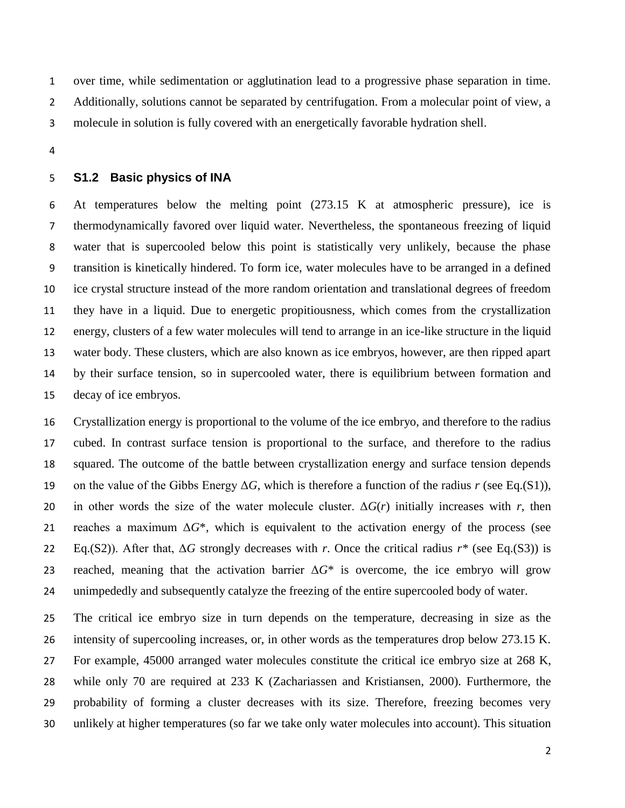over time, while sedimentation or agglutination lead to a progressive phase separation in time. Additionally, solutions cannot be separated by centrifugation. From a molecular point of view, a molecule in solution is fully covered with an energetically favorable hydration shell.

#### **S1.2 Basic physics of INA**

 At temperatures below the melting point (273.15 K at atmospheric pressure), ice is thermodynamically favored over liquid water. Nevertheless, the spontaneous freezing of liquid water that is supercooled below this point is statistically very unlikely, because the phase transition is kinetically hindered. To form ice, water molecules have to be arranged in a defined ice crystal structure instead of the more random orientation and translational degrees of freedom they have in a liquid. Due to energetic propitiousness, which comes from the crystallization energy, clusters of a few water molecules will tend to arrange in an ice-like structure in the liquid water body. These clusters, which are also known as ice embryos, however, are then ripped apart by their surface tension, so in supercooled water, there is equilibrium between formation and decay of ice embryos.

 Crystallization energy is proportional to the volume of the ice embryo, and therefore to the radius cubed. In contrast surface tension is proportional to the surface, and therefore to the radius squared. The outcome of the battle between crystallization energy and surface tension depends on the value of the Gibbs Energy Δ*G*, which is therefore a function of the radius *r* (see Eq.(S1)), 20 in other words the size of the water molecule cluster.  $\Delta G(r)$  initially increases with *r*, then 21 reaches a maximum  $\Delta G^*$ , which is equivalent to the activation energy of the process (see Eq.(S2)). After that, Δ*G* strongly decreases with *r*. Once the critical radius *r\** (see Eq.(S3)) is 23 reached, meaning that the activation barrier  $\Delta G^*$  is overcome, the ice embryo will grow unimpededly and subsequently catalyze the freezing of the entire supercooled body of water.

 The critical ice embryo size in turn depends on the temperature, decreasing in size as the intensity of supercooling increases, or, in other words as the temperatures drop below 273.15 K. For example, 45000 arranged water molecules constitute the critical ice embryo size at 268 K, while only 70 are required at 233 K (Zachariassen and Kristiansen, 2000). Furthermore, the probability of forming a cluster decreases with its size. Therefore, freezing becomes very unlikely at higher temperatures (so far we take only water molecules into account). This situation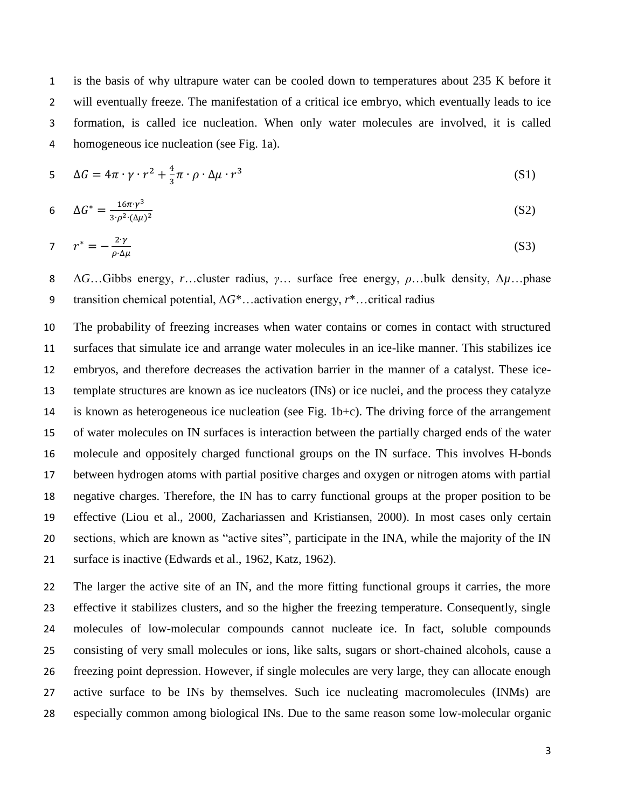is the basis of why ultrapure water can be cooled down to temperatures about 235 K before it will eventually freeze. The manifestation of a critical ice embryo, which eventually leads to ice formation, is called ice nucleation. When only water molecules are involved, it is called homogeneous ice nucleation (see Fig. 1a).

$$
5 \Delta G = 4\pi \cdot \gamma \cdot r^2 + \frac{4}{3}\pi \cdot \rho \cdot \Delta \mu \cdot r^3 \tag{S1}
$$

6 
$$
\Delta G^* = \frac{16\pi \gamma^3}{3 \cdot \rho^2 \cdot (\Delta \mu)^2}
$$
 (S2)

$$
\tau^* = -\frac{2\gamma}{\rho \cdot \Delta \mu} \tag{S3}
$$

 Δ*G*…Gibbs energy, *r*…cluster radius, *γ*… surface free energy, *ρ*…bulk density, Δ*µ*…phase transition chemical potential, Δ*G*\*…activation energy, *r*\*…critical radius

 The probability of freezing increases when water contains or comes in contact with structured surfaces that simulate ice and arrange water molecules in an ice-like manner. This stabilizes ice embryos, and therefore decreases the activation barrier in the manner of a catalyst. These ice- template structures are known as ice nucleators (INs) or ice nuclei, and the process they catalyze is known as heterogeneous ice nucleation (see Fig. 1b+c). The driving force of the arrangement of water molecules on IN surfaces is interaction between the partially charged ends of the water molecule and oppositely charged functional groups on the IN surface. This involves H-bonds between hydrogen atoms with partial positive charges and oxygen or nitrogen atoms with partial negative charges. Therefore, the IN has to carry functional groups at the proper position to be effective (Liou et al., 2000, Zachariassen and Kristiansen, 2000). In most cases only certain sections, which are known as "active sites", participate in the INA, while the majority of the IN surface is inactive (Edwards et al., 1962, Katz, 1962).

 The larger the active site of an IN, and the more fitting functional groups it carries, the more effective it stabilizes clusters, and so the higher the freezing temperature. Consequently, single molecules of low-molecular compounds cannot nucleate ice. In fact, soluble compounds consisting of very small molecules or ions, like salts, sugars or short-chained alcohols, cause a freezing point depression. However, if single molecules are very large, they can allocate enough active surface to be INs by themselves. Such ice nucleating macromolecules (INMs) are especially common among biological INs. Due to the same reason some low-molecular organic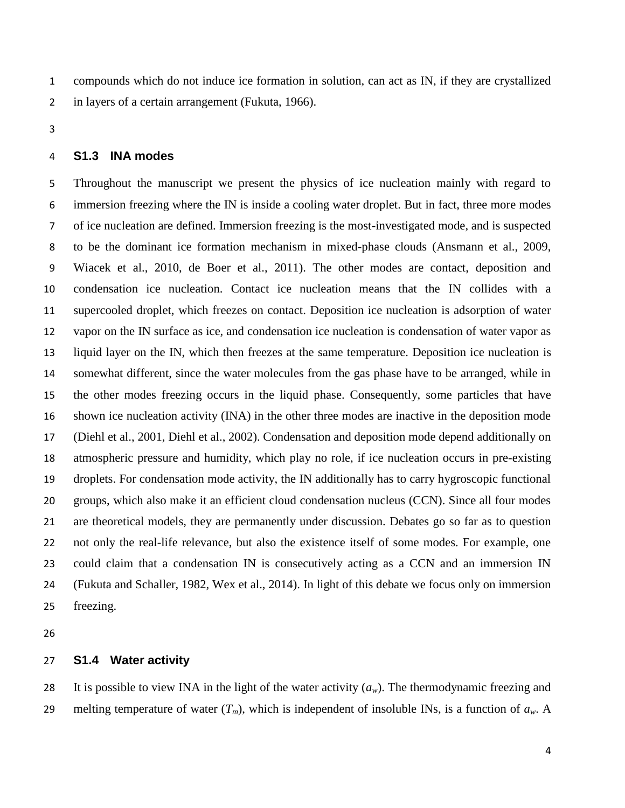compounds which do not induce ice formation in solution, can act as IN, if they are crystallized in layers of a certain arrangement (Fukuta, 1966).

## **S1.3 INA modes**

 Throughout the manuscript we present the physics of ice nucleation mainly with regard to immersion freezing where the IN is inside a cooling water droplet. But in fact, three more modes of ice nucleation are defined. Immersion freezing is the most-investigated mode, and is suspected to be the dominant ice formation mechanism in mixed-phase clouds (Ansmann et al., 2009, Wiacek et al., 2010, de Boer et al., 2011). The other modes are contact, deposition and condensation ice nucleation. Contact ice nucleation means that the IN collides with a supercooled droplet, which freezes on contact. Deposition ice nucleation is adsorption of water vapor on the IN surface as ice, and condensation ice nucleation is condensation of water vapor as liquid layer on the IN, which then freezes at the same temperature. Deposition ice nucleation is somewhat different, since the water molecules from the gas phase have to be arranged, while in the other modes freezing occurs in the liquid phase. Consequently, some particles that have shown ice nucleation activity (INA) in the other three modes are inactive in the deposition mode (Diehl et al., 2001, Diehl et al., 2002). Condensation and deposition mode depend additionally on atmospheric pressure and humidity, which play no role, if ice nucleation occurs in pre-existing droplets. For condensation mode activity, the IN additionally has to carry hygroscopic functional groups, which also make it an efficient cloud condensation nucleus (CCN). Since all four modes are theoretical models, they are permanently under discussion. Debates go so far as to question not only the real-life relevance, but also the existence itself of some modes. For example, one could claim that a condensation IN is consecutively acting as a CCN and an immersion IN (Fukuta and Schaller, 1982, Wex et al., 2014). In light of this debate we focus only on immersion freezing.

## **S1.4 Water activity**

28 It is possible to view INA in the light of the water activity  $(a_w)$ . The thermodynamic freezing and 29 melting temperature of water  $(T_m)$ , which is independent of insoluble INs, is a function of  $a_w$ . A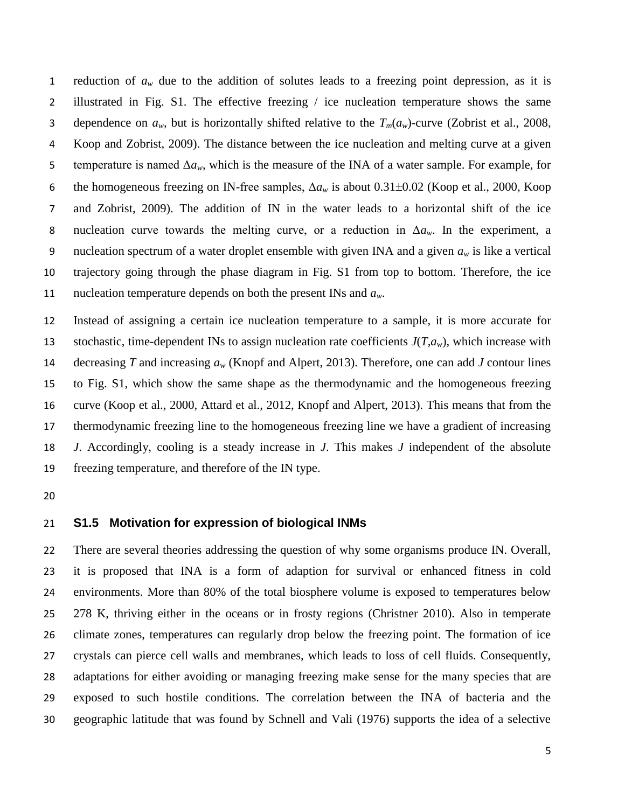1 reduction of  $a_w$  due to the addition of solutes leads to a freezing point depression, as it is illustrated in Fig. S1. The effective freezing / ice nucleation temperature shows the same 3 dependence on  $a_w$ , but is horizontally shifted relative to the  $T_m(a_w)$ -curve (Zobrist et al., 2008, Koop and Zobrist, 2009). The distance between the ice nucleation and melting curve at a given 5 temperature is named  $\Delta a_w$ , which is the measure of the INA of a water sample. For example, for 6 the homogeneous freezing on IN-free samples,  $\Delta a_w$  is about 0.31±0.02 (Koop et al., 2000, Koop and Zobrist, 2009). The addition of IN in the water leads to a horizontal shift of the ice nucleation curve towards the melting curve, or a reduction in Δ*aw*. In the experiment, a 9 nucleation spectrum of a water droplet ensemble with given INA and a given  $a_w$  is like a vertical trajectory going through the phase diagram in Fig. S1 from top to bottom. Therefore, the ice nucleation temperature depends on both the present INs and *aw*.

 Instead of assigning a certain ice nucleation temperature to a sample, it is more accurate for 13 stochastic, time-dependent INs to assign nucleation rate coefficients  $J(T,a_w)$ , which increase with decreasing *T* and increasing *a<sup>w</sup>* (Knopf and Alpert, 2013). Therefore, one can add *J* contour lines to Fig. S1, which show the same shape as the thermodynamic and the homogeneous freezing curve (Koop et al., 2000, Attard et al., 2012, Knopf and Alpert, 2013). This means that from the thermodynamic freezing line to the homogeneous freezing line we have a gradient of increasing *J*. Accordingly, cooling is a steady increase in *J*. This makes *J* independent of the absolute freezing temperature, and therefore of the IN type.

## **S1.5 Motivation for expression of biological INMs**

 There are several theories addressing the question of why some organisms produce IN. Overall, it is proposed that INA is a form of adaption for survival or enhanced fitness in cold environments. More than 80% of the total biosphere volume is exposed to temperatures below 278 K, thriving either in the oceans or in frosty regions (Christner 2010). Also in temperate climate zones, temperatures can regularly drop below the freezing point. The formation of ice crystals can pierce cell walls and membranes, which leads to loss of cell fluids. Consequently, adaptations for either avoiding or managing freezing make sense for the many species that are exposed to such hostile conditions. The correlation between the INA of bacteria and the geographic latitude that was found by Schnell and Vali (1976) supports the idea of a selective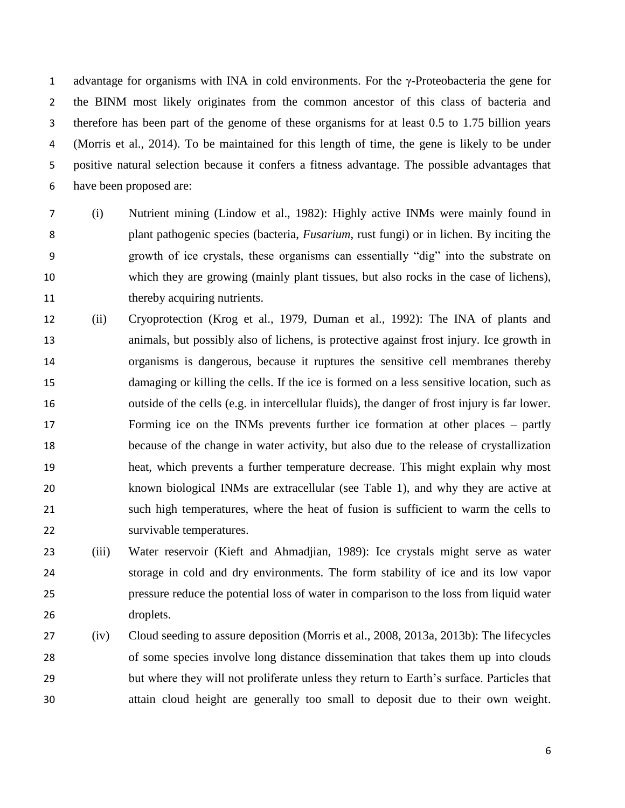advantage for organisms with INA in cold environments. For the γ-Proteobacteria the gene for the BINM most likely originates from the common ancestor of this class of bacteria and therefore has been part of the genome of these organisms for at least 0.5 to 1.75 billion years (Morris et al., 2014). To be maintained for this length of time, the gene is likely to be under positive natural selection because it confers a fitness advantage. The possible advantages that have been proposed are:

- (i) Nutrient mining (Lindow et al., 1982): Highly active INMs were mainly found in plant pathogenic species (bacteria, *Fusarium*, rust fungi) or in lichen. By inciting the growth of ice crystals, these organisms can essentially "dig" into the substrate on which they are growing (mainly plant tissues, but also rocks in the case of lichens), 11 thereby acquiring nutrients.
- (ii) Cryoprotection (Krog et al., 1979, Duman et al., 1992): The INA of plants and animals, but possibly also of lichens, is protective against frost injury. Ice growth in organisms is dangerous, because it ruptures the sensitive cell membranes thereby damaging or killing the cells. If the ice is formed on a less sensitive location, such as outside of the cells (e.g. in intercellular fluids), the danger of frost injury is far lower. Forming ice on the INMs prevents further ice formation at other places – partly because of the change in water activity, but also due to the release of crystallization heat, which prevents a further temperature decrease. This might explain why most known biological INMs are extracellular (see Table 1), and why they are active at such high temperatures, where the heat of fusion is sufficient to warm the cells to survivable temperatures.
- (iii) Water reservoir (Kieft and Ahmadjian, 1989): Ice crystals might serve as water storage in cold and dry environments. The form stability of ice and its low vapor pressure reduce the potential loss of water in comparison to the loss from liquid water droplets.
- (iv) Cloud seeding to assure deposition (Morris et al., 2008, 2013a, 2013b): The lifecycles of some species involve long distance dissemination that takes them up into clouds but where they will not proliferate unless they return to Earth's surface. Particles that attain cloud height are generally too small to deposit due to their own weight.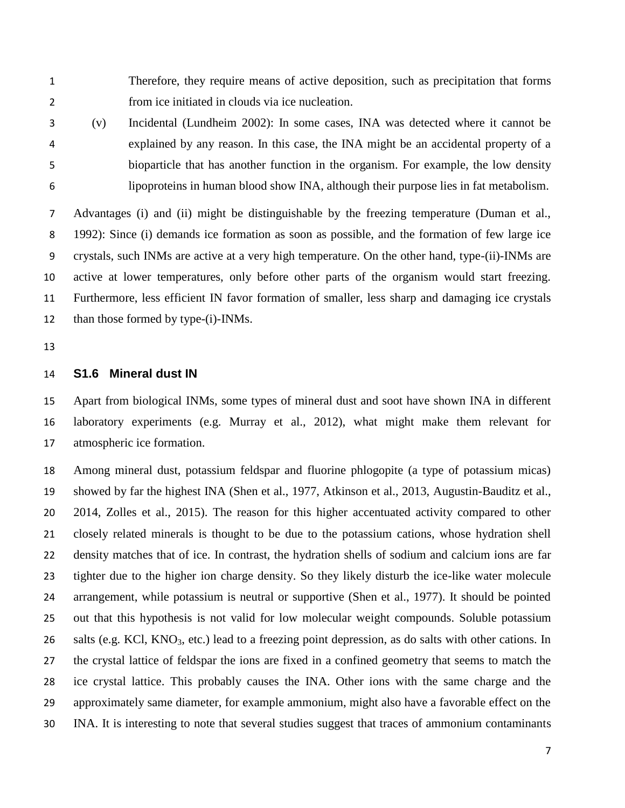Therefore, they require means of active deposition, such as precipitation that forms from ice initiated in clouds via ice nucleation.

 (v) Incidental (Lundheim 2002): In some cases, INA was detected where it cannot be explained by any reason. In this case, the INA might be an accidental property of a bioparticle that has another function in the organism. For example, the low density lipoproteins in human blood show INA, although their purpose lies in fat metabolism.

 Advantages (i) and (ii) might be distinguishable by the freezing temperature (Duman et al., 1992): Since (i) demands ice formation as soon as possible, and the formation of few large ice crystals, such INMs are active at a very high temperature. On the other hand, type-(ii)-INMs are active at lower temperatures, only before other parts of the organism would start freezing. Furthermore, less efficient IN favor formation of smaller, less sharp and damaging ice crystals 12 than those formed by type-(i)-INMs.

#### **S1.6 Mineral dust IN**

 Apart from biological INMs, some types of mineral dust and soot have shown INA in different laboratory experiments (e.g. Murray et al., 2012), what might make them relevant for atmospheric ice formation.

 Among mineral dust, potassium feldspar and fluorine phlogopite (a type of potassium micas) showed by far the highest INA (Shen et al., 1977, Atkinson et al., 2013, Augustin-Bauditz et al., 2014, Zolles et al., 2015). The reason for this higher accentuated activity compared to other closely related minerals is thought to be due to the potassium cations, whose hydration shell density matches that of ice. In contrast, the hydration shells of sodium and calcium ions are far tighter due to the higher ion charge density. So they likely disturb the ice-like water molecule arrangement, while potassium is neutral or supportive (Shen et al., 1977). It should be pointed out that this hypothesis is not valid for low molecular weight compounds. Soluble potassium 26 salts (e.g. KCl, KNO<sub>3</sub>, etc.) lead to a freezing point depression, as do salts with other cations. In the crystal lattice of feldspar the ions are fixed in a confined geometry that seems to match the ice crystal lattice. This probably causes the INA. Other ions with the same charge and the approximately same diameter, for example ammonium, might also have a favorable effect on the INA. It is interesting to note that several studies suggest that traces of ammonium contaminants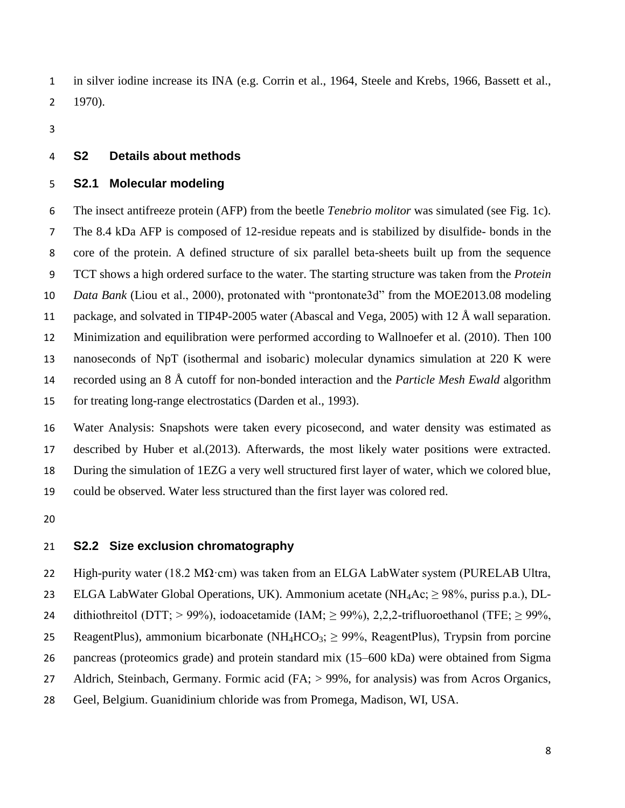in silver iodine increase its INA (e.g. Corrin et al., 1964, Steele and Krebs, 1966, Bassett et al., 1970).

## **S2 Details about methods**

## **S2.1 Molecular modeling**

 The insect antifreeze protein (AFP) from the beetle *Tenebrio molitor* was simulated (see Fig. 1c). The 8.4 kDa AFP is composed of 12-residue repeats and is stabilized by disulfide- bonds in the core of the protein. A defined structure of six parallel beta-sheets built up from the sequence TCT shows a high ordered surface to the water. The starting structure was taken from the *Protein Data Bank* (Liou et al., 2000), protonated with "prontonate3d" from the MOE2013.08 modeling package, and solvated in TIP4P-2005 water (Abascal and Vega, 2005) with 12 Å wall separation. Minimization and equilibration were performed according to Wallnoefer et al. (2010). Then 100 nanoseconds of NpT (isothermal and isobaric) molecular dynamics simulation at 220 K were recorded using an 8 Å cutoff for non-bonded interaction and the *Particle Mesh Ewald* algorithm for treating long-range electrostatics (Darden et al., 1993).

 Water Analysis: Snapshots were taken every picosecond, and water density was estimated as described by Huber et al.(2013). Afterwards, the most likely water positions were extracted. During the simulation of 1EZG a very well structured first layer of water, which we colored blue, could be observed. Water less structured than the first layer was colored red.

## **S2.2 Size exclusion chromatography**

22 High-purity water (18.2 M $\Omega$ ·cm) was taken from an ELGA LabWater system (PURELAB Ultra, 23 ELGA LabWater Global Operations, UK). Ammonium acetate (NH<sub>4</sub>Ac;  $\geq$  98%, puriss p.a.), DL-24 dithiothreitol (DTT; > 99%), iodoacetamide (IAM;  $\geq$  99%), 2,2,2-trifluoroethanol (TFE;  $\geq$  99%, 25 ReagentPlus), ammonium bicarbonate (NH<sub>4</sub>HCO<sub>3</sub>;  $\geq$  99%, ReagentPlus), Trypsin from porcine pancreas (proteomics grade) and protein standard mix (15–600 kDa) were obtained from Sigma Aldrich, Steinbach, Germany. Formic acid (FA; > 99%, for analysis) was from Acros Organics, Geel, Belgium. Guanidinium chloride was from Promega, Madison, WI, USA.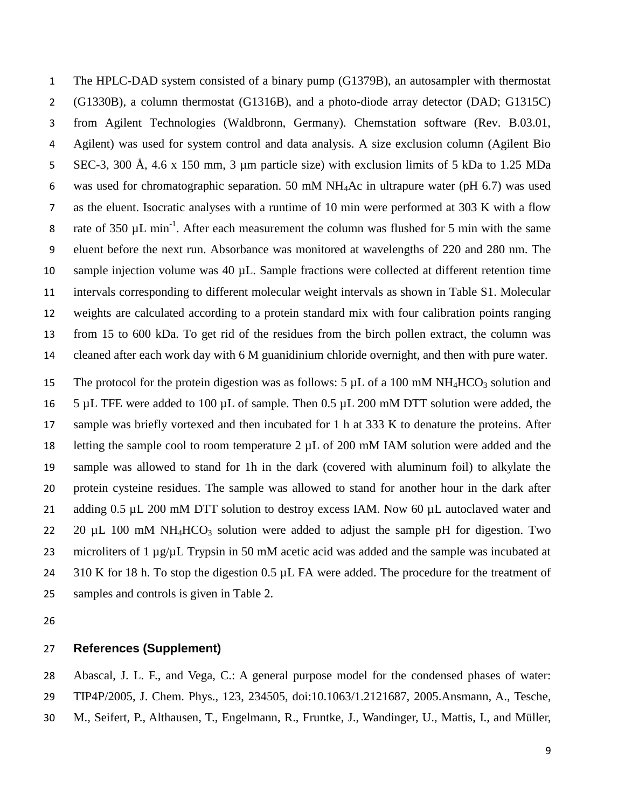The HPLC-DAD system consisted of a binary pump (G1379B), an autosampler with thermostat (G1330B), a column thermostat (G1316B), and a photo-diode array detector (DAD; G1315C) from Agilent Technologies (Waldbronn, Germany). Chemstation software (Rev. B.03.01, Agilent) was used for system control and data analysis. A size exclusion column (Agilent Bio SEC-3, 300 Å, 4.6 x 150 mm, 3 µm particle size) with exclusion limits of 5 kDa to 1.25 MDa was used for chromatographic separation. 50 mM NH4Ac in ultrapure water (pH 6.7) was used as the eluent. Isocratic analyses with a runtime of 10 min were performed at 303 K with a flow 8 rate of 350  $\mu$ L min<sup>-1</sup>. After each measurement the column was flushed for 5 min with the same eluent before the next run. Absorbance was monitored at wavelengths of 220 and 280 nm. The sample injection volume was 40 µL. Sample fractions were collected at different retention time intervals corresponding to different molecular weight intervals as shown in Table S1. Molecular weights are calculated according to a protein standard mix with four calibration points ranging from 15 to 600 kDa. To get rid of the residues from the birch pollen extract, the column was cleaned after each work day with 6 M guanidinium chloride overnight, and then with pure water.

15 The protocol for the protein digestion was as follows: 5  $\mu$ L of a 100 mM NH<sub>4</sub>HCO<sub>3</sub> solution and 5 µL TFE were added to 100 µL of sample. Then 0.5 µL 200 mM DTT solution were added, the sample was briefly vortexed and then incubated for 1 h at 333 K to denature the proteins. After letting the sample cool to room temperature 2 µL of 200 mM IAM solution were added and the sample was allowed to stand for 1h in the dark (covered with aluminum foil) to alkylate the protein cysteine residues. The sample was allowed to stand for another hour in the dark after 21 adding 0.5 µL 200 mM DTT solution to destroy excess IAM. Now 60 µL autoclaved water and 22 20  $\mu$ L 100 mM NH<sub>4</sub>HCO<sub>3</sub> solution were added to adjust the sample pH for digestion. Two 23 microliters of 1 µg/µL Trypsin in 50 mM acetic acid was added and the sample was incubated at 24 310 K for 18 h. To stop the digestion 0.5 µL FA were added. The procedure for the treatment of samples and controls is given in Table 2.

#### **References (Supplement)**

 Abascal, J. L. F., and Vega, C.: A general purpose model for the condensed phases of water: TIP4P/2005, J. Chem. Phys., 123, 234505, doi:10.1063/1.2121687, 2005.Ansmann, A., Tesche, M., Seifert, P., Althausen, T., Engelmann, R., Fruntke, J., Wandinger, U., Mattis, I., and Müller,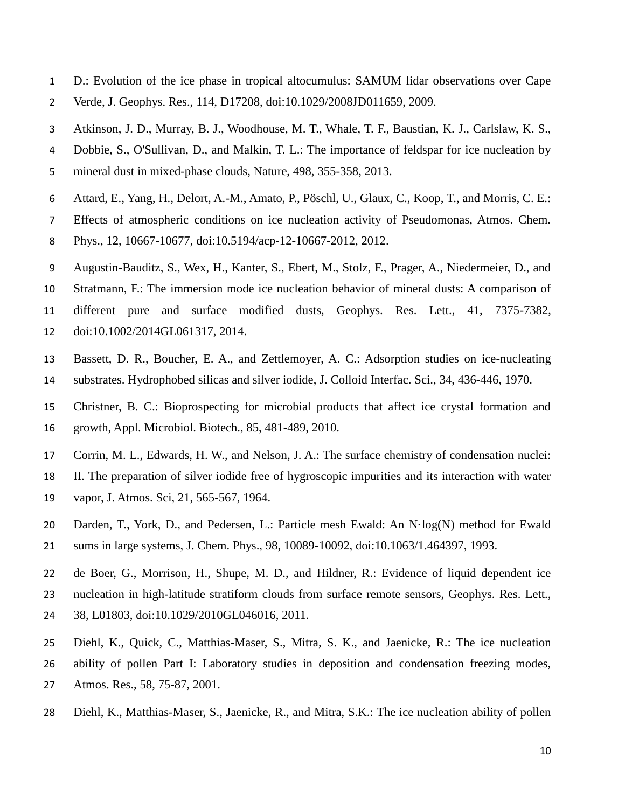- D.: Evolution of the ice phase in tropical altocumulus: SAMUM lidar observations over Cape Verde, J. Geophys. Res., 114, D17208, doi:10.1029/2008JD011659, 2009.
- Atkinson, J. D., Murray, B. J., Woodhouse, M. T., Whale, T. F., Baustian, K. J., Carlslaw, K. S., Dobbie, S., O'Sullivan, D., and Malkin, T. L.: The importance of feldspar for ice nucleation by mineral dust in mixed-phase clouds, Nature, 498, 355-358, 2013.
- Attard, E., Yang, H., Delort, A.-M., Amato, P., Pöschl, U., Glaux, C., Koop, T., and Morris, C. E.:
- Effects of atmospheric conditions on ice nucleation activity of Pseudomonas, Atmos. Chem.
- Phys., 12, 10667-10677, doi:10.5194/acp-12-10667-2012, 2012.
- Augustin-Bauditz, S., Wex, H., Kanter, S., Ebert, M., Stolz, F., Prager, A., Niedermeier, D., and
- Stratmann, F.: The immersion mode ice nucleation behavior of mineral dusts: A comparison of different pure and surface modified dusts, Geophys. Res. Lett., 41, 7375-7382, doi:10.1002/2014GL061317, 2014.
- Bassett, D. R., Boucher, E. A., and Zettlemoyer, A. C.: Adsorption studies on ice-nucleating substrates. Hydrophobed silicas and silver iodide, J. Colloid Interfac. Sci., 34, 436-446, 1970.
- Christner, B. C.: Bioprospecting for microbial products that affect ice crystal formation and growth, Appl. Microbiol. Biotech., 85, 481-489, 2010.
- Corrin, M. L., Edwards, H. W., and Nelson, J. A.: The surface chemistry of condensation nuclei:
- II. The preparation of silver iodide free of hygroscopic impurities and its interaction with water
- vapor, J. Atmos. Sci, 21, 565-567, 1964.
- Darden, T., York, D., and Pedersen, L.: Particle mesh Ewald: An N·log(N) method for Ewald sums in large systems, J. Chem. Phys., 98, 10089-10092, doi:10.1063/1.464397, 1993.
- de Boer, G., Morrison, H., Shupe, M. D., and Hildner, R.: Evidence of liquid dependent ice nucleation in high-latitude stratiform clouds from surface remote sensors, Geophys. Res. Lett., 38, L01803, doi:10.1029/2010GL046016, 2011.
- Diehl, K., Quick, C., Matthias-Maser, S., Mitra, S. K., and Jaenicke, R.: The ice nucleation ability of pollen Part I: Laboratory studies in deposition and condensation freezing modes, Atmos. Res., 58, 75-87, 2001.
- Diehl, K., Matthias-Maser, S., Jaenicke, R., and Mitra, S.K.: The ice nucleation ability of pollen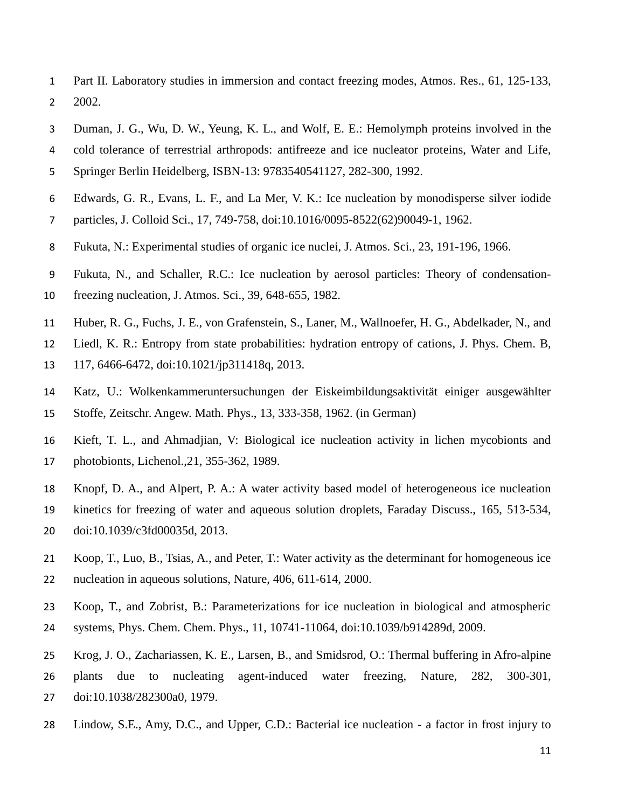- Part II. Laboratory studies in immersion and contact freezing modes, Atmos. Res., 61, 125-133, 2002.
- Duman, J. G., Wu, D. W., Yeung, K. L., and Wolf, E. E.: Hemolymph proteins involved in the
- cold tolerance of terrestrial arthropods: antifreeze and ice nucleator proteins, Water and Life,
- Springer Berlin Heidelberg, ISBN-13: 9783540541127, 282-300, 1992.
- Edwards, G. R., Evans, L. F., and La Mer, V. K.: Ice nucleation by monodisperse silver iodide
- particles, J. Colloid Sci., 17, 749-758, doi:10.1016/0095-8522(62)90049-1, 1962.
- Fukuta, N.: Experimental studies of organic ice nuclei, J. Atmos. Sci., 23, 191-196, 1966.
- Fukuta, N., and Schaller, R.C.: Ice nucleation by aerosol particles: Theory of condensation-
- freezing nucleation, J. Atmos. Sci., 39, 648-655, 1982.
- Huber, R. G., Fuchs, J. E., von Grafenstein, S., Laner, M., Wallnoefer, H. G., Abdelkader, N., and
- Liedl, K. R.: Entropy from state probabilities: hydration entropy of cations, J. Phys. Chem. B,
- 117, 6466-6472, doi:10.1021/jp311418q, 2013.
- Katz, U.: Wolkenkammeruntersuchungen der Eiskeimbildungsaktivität einiger ausgewählter Stoffe, Zeitschr. Angew. Math. Phys., 13, 333-358, 1962. (in German)
- Kieft, T. L., and Ahmadjian, V: Biological ice nucleation activity in lichen mycobionts and photobionts, Lichenol.,21, 355-362, 1989.
- Knopf, D. A., and Alpert, P. A.: A water activity based model of heterogeneous ice nucleation kinetics for freezing of water and aqueous solution droplets, Faraday Discuss., 165, 513-534, doi:10.1039/c3fd00035d, 2013.
- Koop, T., Luo, B., Tsias, A., and Peter, T.: Water activity as the determinant for homogeneous ice nucleation in aqueous solutions, Nature, 406, 611-614, 2000.
- Koop, T., and Zobrist, B.: Parameterizations for ice nucleation in biological and atmospheric systems, Phys. Chem. Chem. Phys., 11, 10741-11064, doi:10.1039/b914289d, 2009.
- Krog, J. O., Zachariassen, K. E., Larsen, B., and Smidsrod, O.: Thermal buffering in Afro-alpine plants due to nucleating agent-induced water freezing, Nature, 282, 300-301, doi:10.1038/282300a0, 1979.
- Lindow, S.E., Amy, D.C., and Upper, C.D.: Bacterial ice nucleation a factor in frost injury to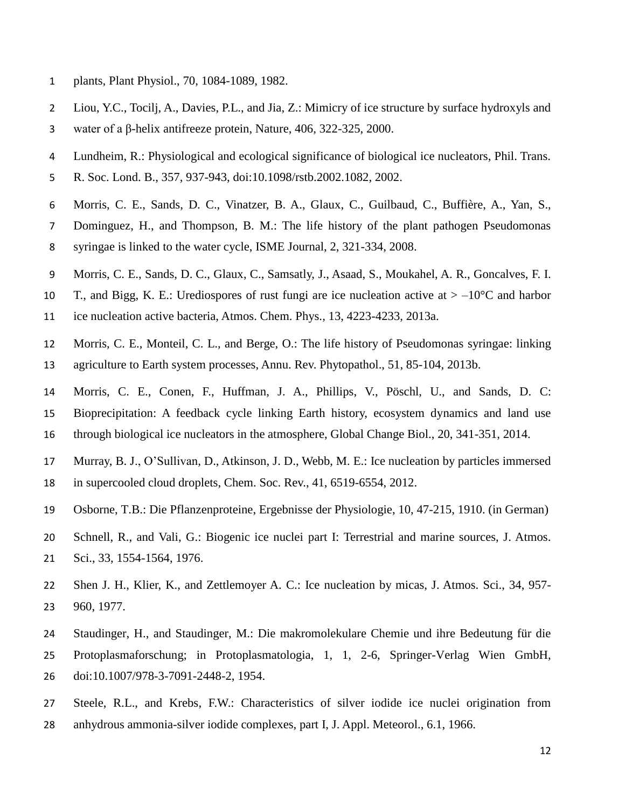- plants, Plant Physiol., 70, 1084-1089, 1982.
- Liou, Y.C., Tocilj, A., Davies, P.L., and Jia, Z.: Mimicry of ice structure by surface hydroxyls and water of a β-helix antifreeze protein, Nature, 406, 322-325, 2000.
- Lundheim, R.: Physiological and ecological significance of biological ice nucleators, Phil. Trans.
- R. Soc. Lond. B., 357, 937-943, doi:10.1098/rstb.2002.1082, 2002.
- Morris, C. E., Sands, D. C., Vinatzer, B. A., Glaux, C., Guilbaud, C., Buffière, A., Yan, S.,
- Dominguez, H., and Thompson, B. M.: The life history of the plant pathogen Pseudomonas syringae is linked to the water cycle, ISME Journal, 2, 321-334, 2008.
- Morris, C. E., Sands, D. C., Glaux, C., Samsatly, J., Asaad, S., Moukahel, A. R., Goncalves, F. I.
- 10 T., and Bigg, K. E.: Urediospores of rust fungi are ice nucleation active at  $> -10^{\circ}$ C and harbor
- ice nucleation active bacteria, Atmos. Chem. Phys., 13, 4223-4233, 2013a.
- Morris, C. E., Monteil, C. L., and Berge, O.: The life history of Pseudomonas syringae: linking
- agriculture to Earth system processes, Annu. Rev. Phytopathol., 51, 85-104, 2013b.
- Morris, C. E., Conen, F., Huffman, J. A., Phillips, V., Pöschl, U., and Sands, D. C: Bioprecipitation: A feedback cycle linking Earth history, ecosystem dynamics and land use through biological ice nucleators in the atmosphere, Global Change Biol., 20, 341-351, 2014.
- Murray, B. J., O'Sullivan, D., Atkinson, J. D., Webb, M. E.: Ice nucleation by particles immersed
- in supercooled cloud droplets, Chem. Soc. Rev., 41, 6519-6554, 2012.
- Osborne, T.B.: Die Pflanzenproteine, Ergebnisse der Physiologie, 10, 47-215, 1910. (in German)
- Schnell, R., and Vali, G.: Biogenic ice nuclei part I: Terrestrial and marine sources, J. Atmos. Sci., 33, 1554-1564, 1976.
- Shen J. H., Klier, K., and Zettlemoyer A. C.: Ice nucleation by micas, J. Atmos. Sci., 34, 957- 960, 1977.
- Staudinger, H., and Staudinger, M.: Die makromolekulare Chemie und ihre Bedeutung für die Protoplasmaforschung; in Protoplasmatologia, 1, 1, 2-6, Springer-Verlag Wien GmbH, doi:10.1007/978-3-7091-2448-2, 1954.
- Steele, R.L., and Krebs, F.W.: Characteristics of silver iodide ice nuclei origination from
- anhydrous ammonia-silver iodide complexes, part I, J. Appl. Meteorol., 6.1, 1966.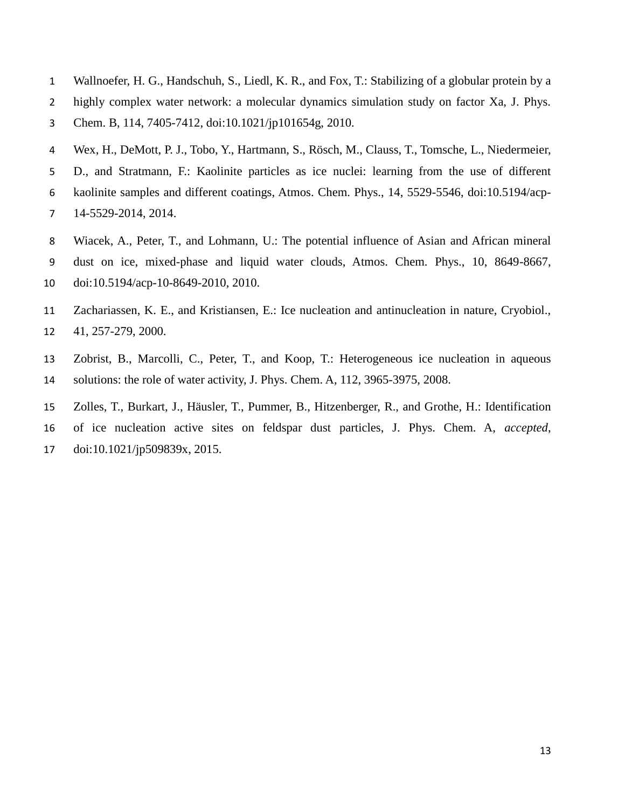- Wallnoefer, H. G., Handschuh, S., Liedl, K. R., and Fox, T.: Stabilizing of a globular protein by a highly complex water network: a molecular dynamics simulation study on factor Xa, J. Phys. Chem. B, 114, 7405-7412, doi:10.1021/jp101654g, 2010.
- Wex, H., DeMott, P. J., Tobo, Y., Hartmann, S., Rösch, M., Clauss, T., Tomsche, L., Niedermeier, D., and Stratmann, F.: Kaolinite particles as ice nuclei: learning from the use of different kaolinite samples and different coatings, Atmos. Chem. Phys., 14, 5529-5546, doi:10.5194/acp-14-5529-2014, 2014.
- Wiacek, A., Peter, T., and Lohmann, U.: The potential influence of Asian and African mineral dust on ice, mixed-phase and liquid water clouds, Atmos. Chem. Phys., 10, 8649-8667, doi:10.5194/acp-10-8649-2010, 2010.
- Zachariassen, K. E., and Kristiansen, E.: Ice nucleation and antinucleation in nature, Cryobiol., 41, 257-279, 2000.
- Zobrist, B., Marcolli, C., Peter, T., and Koop, T.: Heterogeneous ice nucleation in aqueous solutions: the role of water activity, J. Phys. Chem. A, 112, 3965-3975, 2008.
- Zolles, T., Burkart, J., Häusler, T., Pummer, B., Hitzenberger, R., and Grothe, H.: Identification of ice nucleation active sites on feldspar dust particles, J. Phys. Chem. A, *accepted*, doi:10.1021/jp509839x, 2015.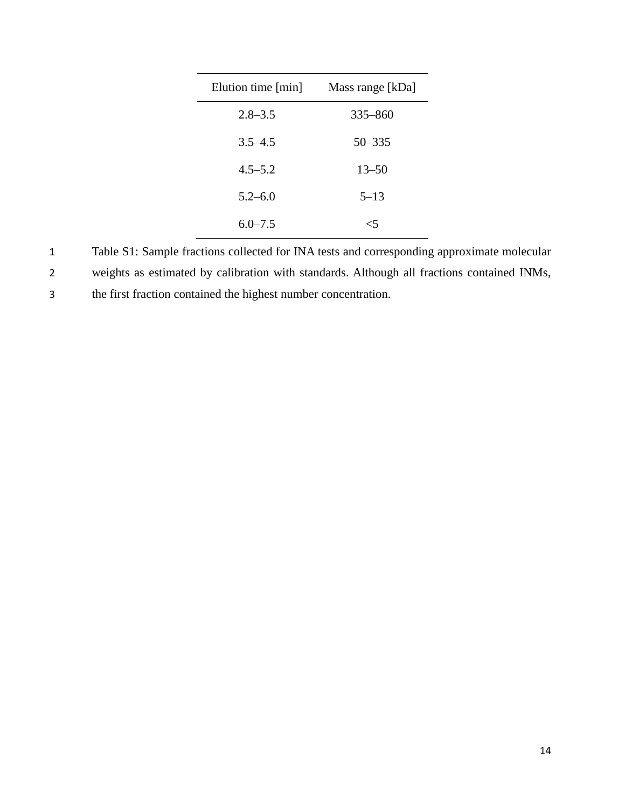| Elution time [min] | Mass range [kDa] |
|--------------------|------------------|
| $2.8 - 3.5$        | $335 - 860$      |
| $3.5 - 4.5$        | $50 - 335$       |
| $4.5 - 5.2$        | $13 - 50$        |
| $5.2 - 6.0$        | $5 - 13$         |
| $6.0 - 7.5$        | <5               |

1 Table S1: Sample fractions collected for INA tests and corresponding approximate molecular 2 weights as estimated by calibration with standards. Although all fractions contained INMs,

3 the first fraction contained the highest number concentration.